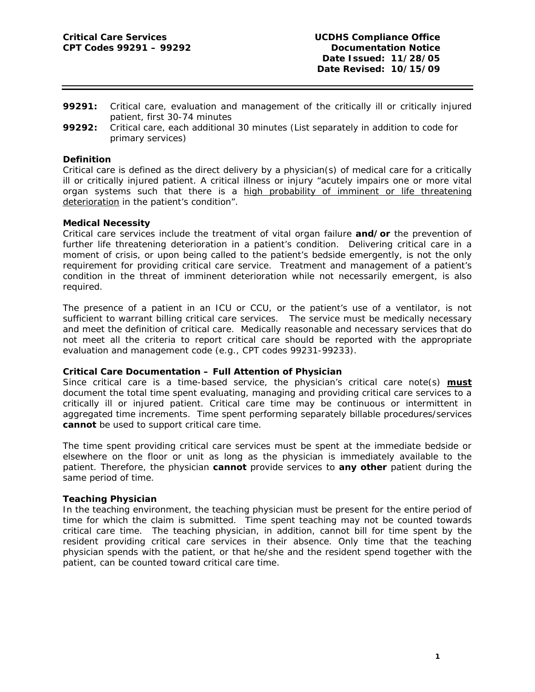- **99291:** Critical care, evaluation and management of the critically ill or critically injured patient, first 30-74 minutes
- **99292:** Critical care, each additional 30 minutes (List separately in addition to code for primary services)

### **Definition**

Critical care is defined as the direct delivery by a physician(s) of medical care for a critically ill or critically injured patient. A critical illness or injury "acutely impairs one or more vital organ systems such that there is a high probability of imminent or life threatening deterioration in the patient's condition".

## **Medical Necessity**

Critical care services include the treatment of vital organ failure **and/or** the prevention of further life threatening deterioration in a patient's condition. Delivering critical care in a moment of crisis, or upon being called to the patient's bedside emergently, is not the only requirement for providing critical care service. Treatment and management of a patient's condition in the threat of imminent deterioration while not necessarily emergent, is also required.

The presence of a patient in an ICU or CCU, or the patient's use of a ventilator, is not sufficient to warrant billing critical care services. The service must be medically necessary and meet the definition of critical care. Medically reasonable and necessary services that do not meet all the criteria to report critical care should be reported with the appropriate evaluation and management code (e.g., CPT codes 99231-99233).

# **Critical Care Documentation – Full Attention of Physician**

Since critical care is a time-based service, the physician's critical care note(s) **must** document the total time spent evaluating, managing and providing critical care services to a critically ill or injured patient. Critical care time may be continuous or intermittent in aggregated time increments. Time spent performing separately billable procedures/services **cannot** be used to support critical care time.

The time spent providing critical care services must be spent at the immediate bedside or elsewhere on the floor or unit as long as the physician is immediately available to the patient. Therefore, the physician **cannot** provide services to **any other** patient during the same period of time.

### **Teaching Physician**

In the teaching environment, the teaching physician must be present for the entire period of time for which the claim is submitted. Time spent teaching may not be counted towards critical care time. The teaching physician, in addition, cannot bill for time spent by the resident providing critical care services in their absence. Only time that the teaching physician spends with the patient, or that he/she and the resident spend together with the patient, can be counted toward critical care time.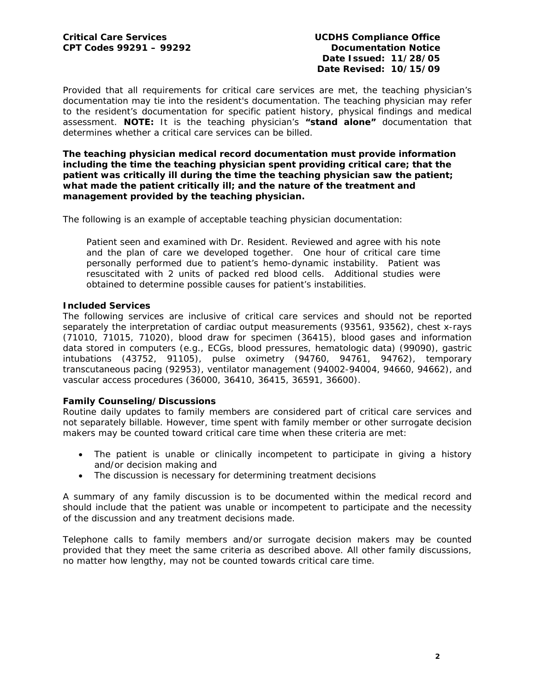Provided that all requirements for critical care services are met, the teaching physician's documentation may tie into the resident's documentation. The teaching physician may refer to the resident's documentation for specific patient history, physical findings and medical assessment. **NOTE:** It is the teaching physician's **"stand alone"** documentation that determines whether a critical care services can be billed.

**The teaching physician medical record documentation must provide information including the time the teaching physician spent providing critical care; that the patient was critically ill during the time the teaching physician saw the patient; what made the patient critically ill; and the nature of the treatment and management provided by the teaching physician.** 

The following is an example of acceptable teaching physician documentation:

Patient seen and examined with Dr. Resident. Reviewed and agree with his note and the plan of care we developed together. One hour of critical care time personally performed due to patient's hemo-dynamic instability. Patient was resuscitated with 2 units of packed red blood cells. Additional studies were obtained to determine possible causes for patient's instabilities.

## **Included Services**

The following services are inclusive of critical care services and should not be reported separately the interpretation of cardiac output measurements (93561, 93562), chest x-rays (71010, 71015, 71020), blood draw for specimen (36415), blood gases and information data stored in computers (e.g., ECGs, blood pressures, hematologic data) (99090), gastric intubations (43752, 91105), pulse oximetry (94760, 94761, 94762), temporary transcutaneous pacing (92953), ventilator management (94002-94004, 94660, 94662), and vascular access procedures (36000, 36410, 36415, 36591, 36600).

### **Family Counseling/Discussions**

Routine daily updates to family members are considered part of critical care services and not separately billable. However, time spent with family member or other surrogate decision makers may be counted toward critical care time when these criteria are met:

- The patient is unable or clinically incompetent to participate in giving a history and/or decision making and
- The discussion is necessary for determining treatment decisions

A summary of any family discussion is to be documented within the medical record and should include that the patient was unable or incompetent to participate and the necessity of the discussion and any treatment decisions made.

Telephone calls to family members and/or surrogate decision makers may be counted provided that they meet the same criteria as described above. All other family discussions, no matter how lengthy, may not be counted towards critical care time.